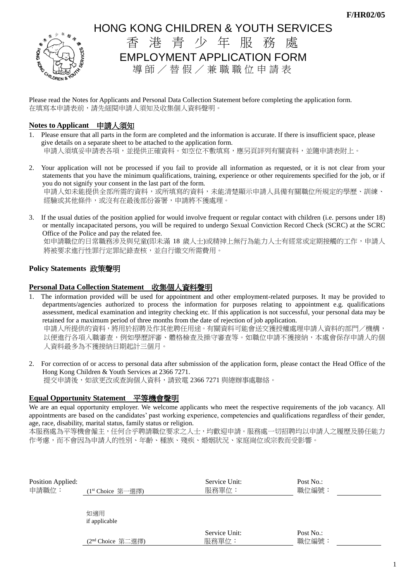

# HONG KONG CHILDREN & YOUTH SERVICES 香 港 青 少 年 服 務 處

EMPLOYMENT APPLICATION FORM

導師/替假/兼職職位申請表

Please read the Notes for Applicants and Personal Data Collection Statement before completing the application form. 在填寫本申請表前,請先細閱申請人須知及收集個人資料聲明。

## **Notes to Applicant** 申請人須知

- 1. Please ensure that all parts in the form are completed and the information is accurate. If there is insufficient space, please give details on a separate sheet to be attached to the application form. 申請人須填妥申請表各項,並提供正確資料。如空位不敷填寫,應另頁詳列有關資料,並隨申請表附上。
- 2. Your application will not be processed if you fail to provide all information as requested, or it is not clear from your statements that you have the minimum qualifications, training, experience or other requirements specified for the job, or if you do not signify your consent in the last part of the form. 申請人如未能提供全部所需的資料,或所填寫的資料,未能清楚顯示申請人具備有關職位所規定的學歷、訓練、 經驗或其他條件,或沒有在最後部份簽署,申請將不獲處理。
- 3. If the usual duties of the position applied for would involve frequent or regular contact with children (i.e. persons under 18) or mentally incapacitated persons, you will be required to undergo Sexual Conviction Record Check (SCRC) at the SCRC Office of the Police and pay the related fee.

如申請職位的日常職務涉及與兒童(即未滿 18 歲人士)或精神上無行為能力人士有經常或定期接觸的工作,申請人 將被要求進行性罪行定罪紀錄查核,並自行繳交所需費用。

## **Policy Statements** 政策聲明

### **Personal Data Collection Statement** 收集個人資料聲明

- 1. The information provided will be used for appointment and other employment-related purposes. It may be provided to departments/agencies authorized to process the information for purposes relating to appointment e.g. qualifications assessment, medical examination and integrity checking etc. If this application is not successful, your personal data may be retained for a maximum period of three months from the date of rejection of job application. 申請人所提供的資料,將用於招聘及作其他聘任用途。有關資料可能會送交獲授權處理申請人資料的部門/機構, 以便進行各項入職審查,例如學歷評審、體格檢查及操守審查等。如職位申請不獲接納,本處會保存申請人的個 人資料最多為不獲接納日期起計三個月。
- 2. For correction of or access to personal data after submission of the application form, please contact the Head Office of the Hong Kong Children & Youth Services at 2366 7271. 提交申請後,如欲更改或查詢個人資料,請致電 2366 7271 與總辦事處聯絡。

## **Equal Opportunity Statement** 平等機會聲明

We are an equal opportunity employer. We welcome applicants who meet the respective requirements of the job vacancy. All appointments are based on the candidates' past working experience, competencies and qualifications regardless of their gender, age, race, disability, marital status, family status or religion.

本服務處為平等機會僱主,任何合乎聘請職位要求之人士,均歡迎申請。服務處一切招聘均以申請人之履歷及勝任能力 作考慮,而不會因為申請人的性別、年齡、種族、殘疾、婚姻狀況、家庭崗位或宗教而受影響。

| Position Applied:<br>申請職位: | (1 <sup>st</sup> Choice 第一選擇) | Service Unit:<br>服務單位: | Post No.:<br>職位編號: |  |
|----------------------------|-------------------------------|------------------------|--------------------|--|
|                            | 如適用<br>if applicable          |                        |                    |  |
|                            | (2 <sup>nd</sup> Choice 第二選擇) | Service Unit:<br>服務單位: | Post No.:<br>職位編號: |  |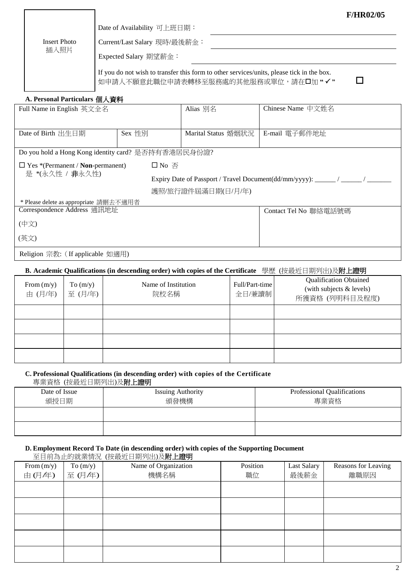|                                                                                                                                  |                              | <b>F/HR02/05</b> |
|----------------------------------------------------------------------------------------------------------------------------------|------------------------------|------------------|
|                                                                                                                                  | Date of Availability 可上班日期:  |                  |
| Insert Photo                                                                                                                     | Current/Last Salary 現時/最後薪金: |                  |
| 插入照片                                                                                                                             | Expected Salary 期望薪金:        |                  |
| If you do not wish to transfer this form to other services/units, please tick in the box.<br>如申請人不願意此職位申請表轉移至服務處的其他服務或單位,請在口加"√" |                              |                  |

#### **A. Personal Particulars** 個人資料

| Full Name in English 英文全名                           |                                  | Alias 別名                                                                 | Chinese Name 中文姓名     |  |  |
|-----------------------------------------------------|----------------------------------|--------------------------------------------------------------------------|-----------------------|--|--|
|                                                     |                                  |                                                                          |                       |  |  |
| Date of Birth 出生日期                                  | Sex 性別                           | Marital Status 婚姻狀況                                                      | E-mail 電子郵件地址         |  |  |
|                                                     |                                  |                                                                          |                       |  |  |
| Do you hold a Hong Kong identity card? 是否持有香港居民身份證? |                                  |                                                                          |                       |  |  |
| $\Box$ Yes *(Permanent / <b>Non</b> -permanent)     | $\Box$ No $\overline{\triangle}$ |                                                                          |                       |  |  |
| 是 *(永久性 / 非永久性)                                     |                                  | Expiry Date of Passport / Travel Document(dd/mm/yyyy): ______ / ______ / |                       |  |  |
|                                                     |                                  | 護照/旅行證件屆滿日期(日/月/年)                                                       |                       |  |  |
| * Please delete as appropriate 請刪去不適用者              |                                  |                                                                          |                       |  |  |
| Correspondence Address 通訊地址                         |                                  |                                                                          | Contact Tel No 聯絡電話號碼 |  |  |
| (中文)                                                |                                  |                                                                          |                       |  |  |
| (英文)                                                |                                  |                                                                          |                       |  |  |
| Religion 宗教: (If applicable 如適用)                    |                                  |                                                                          |                       |  |  |

#### **B. Academic Qualifications (in descending order) with copies of the Certificate** 學歷 (按最近日期列出)及附上證明

| From $(m/y)$<br>由 (月/年) | To $(m/y)$<br>至(月/年) | Name of Institution<br>院校名稱 | Full/Part-time<br>全日/兼讀制 | <b>Qualification Obtained</b><br>(with subjects & levels)<br>所獲資格 (列明科目及程度) |
|-------------------------|----------------------|-----------------------------|--------------------------|-----------------------------------------------------------------------------|
|                         |                      |                             |                          |                                                                             |
|                         |                      |                             |                          |                                                                             |
|                         |                      |                             |                          |                                                                             |
|                         |                      |                             |                          |                                                                             |

## **C. Professional Qualifications (in descending order) with copies of the Certificate**

專業資格 (按最近日期列出)及附上證明

| Date of Issue<br>頒授日期 | <b>Issuing Authority</b><br>頒發機構 | Professional Qualifications<br>專業資格 |
|-----------------------|----------------------------------|-------------------------------------|
|                       |                                  |                                     |
|                       |                                  |                                     |

### **D. Employment Record To Date (in descending order) with copies of the Supporting Document**

至目前為止的就業情況 (按最近日期列出)及附上證明 From (m/y) <sup>由</sup> (月/年) To  $(m/y)$ <sup>至</sup> (月/年) Name of Organization 機構名稱 Position 職位 Last Salary 最後薪金 Reasons for Leaving 離職原因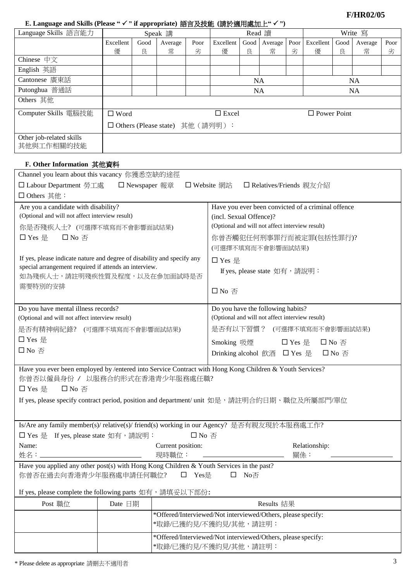**F/HR02/05**

## **E. Language and Skills (Please " " if appropriate)** 語言及技能 **(**請於適用處加上**" ")**

| Language Skills 語言能力                   | Speak 講                           |      |         | Read 讀    |              |      | Write 寫   |      |                    |      |         |      |
|----------------------------------------|-----------------------------------|------|---------|-----------|--------------|------|-----------|------|--------------------|------|---------|------|
|                                        | Excellent                         | Good | Average | Poor      | Excellent    | Good | Average   | Poor | Excellent          | Good | Average | Poor |
|                                        | 優                                 | 良    | 常       | 劣         | 優            | 良    | 常         | 劣    | 優                  | 良    | 常       | 劣    |
| Chinese $\oplus \overline{\chi}$       |                                   |      |         |           |              |      |           |      |                    |      |         |      |
| English 英語                             |                                   |      |         |           |              |      |           |      |                    |      |         |      |
| Cantonese 廣東話                          |                                   |      |         | <b>NA</b> |              |      | <b>NA</b> |      |                    |      |         |      |
| Putonghua 普通話                          |                                   |      |         | <b>NA</b> |              |      | <b>NA</b> |      |                    |      |         |      |
| Others 其他                              |                                   |      |         |           |              |      |           |      |                    |      |         |      |
| Computer Skills 電腦技能                   | $\Box$ Word                       |      |         |           | $\Box$ Excel |      |           |      | $\Box$ Power Point |      |         |      |
|                                        | □ Others (Please state) 其他 (請列明): |      |         |           |              |      |           |      |                    |      |         |      |
| Other job-related skills<br>其他與工作相關的技能 |                                   |      |         |           |              |      |           |      |                    |      |         |      |

# **F. Other Information** 其他資料

| Channel you learn about this vacancy 你獲悉空缺的途徑                                                                                                                                                                                                                                              |                                                                                       |                                                                                       |                                                                                                                                                                                  |  |  |  |
|--------------------------------------------------------------------------------------------------------------------------------------------------------------------------------------------------------------------------------------------------------------------------------------------|---------------------------------------------------------------------------------------|---------------------------------------------------------------------------------------|----------------------------------------------------------------------------------------------------------------------------------------------------------------------------------|--|--|--|
| □ Labour Department 勞工處                                                                                                                                                                                                                                                                    | □ Newspaper 報章                                                                        |                                                                                       | □ Website 網站<br>□ Relatives/Friends 親友介紹                                                                                                                                         |  |  |  |
| □ Others 其他:                                                                                                                                                                                                                                                                               |                                                                                       |                                                                                       |                                                                                                                                                                                  |  |  |  |
| Are you a candidate with disability?<br>(Optional and will not affect interview result)<br>你是否殘疾人士? (可選擇不填寫而不會影響面試結果)<br>□ Yes 是<br>$\square$ No $\overline{\triangle}$                                                                                                                    |                                                                                       |                                                                                       | Have you ever been convicted of a criminal offence<br>(incl. Sexual Offence)?<br>(Optional and will not affect interview result)<br>你曾否觸犯任何刑事罪行而被定罪(包括性罪行)?<br>(可選擇不填寫而不會影響面試結果) |  |  |  |
| If yes, please indicate nature and degree of disability and specify any<br>special arrangement required if attends an interview.<br>如為殘疾人士,請註明殘疾性質及程度,以及在參加面試時是否<br>需要特別的安排                                                                                                                |                                                                                       |                                                                                       | □ Yes 是<br>If yes, please state 如有, 請說明:<br>$\square$ No $\overline{\triangle}$                                                                                                  |  |  |  |
| Do you have mental illness records?                                                                                                                                                                                                                                                        |                                                                                       |                                                                                       | Do you have the following habits?                                                                                                                                                |  |  |  |
| (Optional and will not affect interview result)                                                                                                                                                                                                                                            |                                                                                       |                                                                                       | (Optional and will not affect interview result)                                                                                                                                  |  |  |  |
| 是否有精神病紀錄? (可選擇不填寫而不會影響面試結果)                                                                                                                                                                                                                                                                |                                                                                       |                                                                                       | 是否有以下習慣? (可選擇不填寫而不會影響面試結果)                                                                                                                                                       |  |  |  |
| □ Yes 是                                                                                                                                                                                                                                                                                    |                                                                                       |                                                                                       | Smoking 吸煙<br>$\square$ Yes 是<br>口 No 否                                                                                                                                          |  |  |  |
| $\square$ No 否                                                                                                                                                                                                                                                                             |                                                                                       |                                                                                       | Drinking alcohol 飲酒 □ Yes 是<br>$\square$ No $\overline{\triangle}$                                                                                                               |  |  |  |
| Have you ever been employed by /entered into Service Contract with Hong Kong Children & Youth Services?<br>你曾否以僱員身份 / 以服務合約形式在香港青少年服務處任職?<br>□ Yes 是<br>$\square$ No $\overline{\triangle}$<br>If yes, please specify contract period, position and department/ unit 如是,請註明合約日期、職位及所屬部門/單位 |                                                                                       |                                                                                       |                                                                                                                                                                                  |  |  |  |
|                                                                                                                                                                                                                                                                                            |                                                                                       |                                                                                       | Is/Are any family member(s)/ relative(s)/ friend(s) working in our Agency? 是否有親友現於本服務處工作?                                                                                        |  |  |  |
| □ Yes 是 If yes, please state 如有,請說明:                                                                                                                                                                                                                                                       |                                                                                       | □ No 否                                                                                |                                                                                                                                                                                  |  |  |  |
| Name:                                                                                                                                                                                                                                                                                      | Current position:<br>Relationship:<br>關係:<br>現時職位:                                    |                                                                                       |                                                                                                                                                                                  |  |  |  |
| Have you applied any other post(s) with Hong Kong Children & Youth Services in the past?<br>你曾否在過去向香港青少年服務處申請任何職位?<br>□ Yes是<br>$\square$ No $\overline{\triangle}$                                                                                                                        |                                                                                       |                                                                                       |                                                                                                                                                                                  |  |  |  |
| If yes, please complete the following parts 如有,請填妥以下部份:                                                                                                                                                                                                                                    |                                                                                       |                                                                                       |                                                                                                                                                                                  |  |  |  |
| Post 職位                                                                                                                                                                                                                                                                                    | Date 日期                                                                               |                                                                                       | Results 結果                                                                                                                                                                       |  |  |  |
|                                                                                                                                                                                                                                                                                            |                                                                                       | *Offered/Interviewed/Not interviewed/Others, please specify:<br>*取錄/已獲約見/不獲約見/其他,請註明: |                                                                                                                                                                                  |  |  |  |
|                                                                                                                                                                                                                                                                                            | *Offered/Interviewed/Not interviewed/Others, please specify:<br>*取錄/已獲約見/不獲約見/其他,請註明: |                                                                                       |                                                                                                                                                                                  |  |  |  |